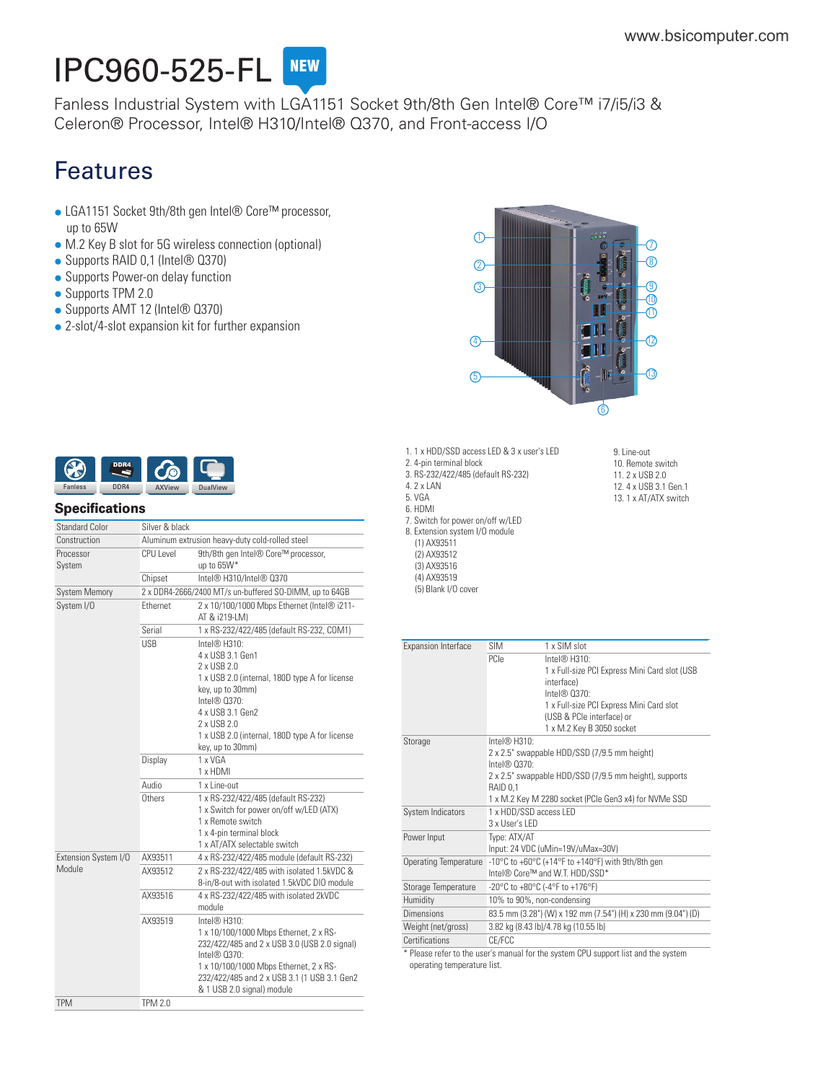# **IPC960-525-FL**

[Fanless Industrial System with LGA1151 Socket 9th/8th Gen Intel® Core™ i7/i5/i3 &](https://www.bsicomputer.com/products/ipc960-525-fl-23357) Celeron® Processor, Intel® H310/Intel® Q370, and Front-access I/O

# Features

- LGA1151 Socket 9th/8th gen Intel® Core™ processor, up to 65W
- M.2 Key B slot for 5G wireless connection (optional)
- Supports RAID 0,1 (Intel® Q370)
- Supports Power-on delay function
- Supports TPM 2.0
- Supports AMT 12 (Intel® Q370)
- 2-slot/4-slot expansion kit for further expansion





## **Specifications**

| Construction<br>Aluminum extrusion heavy-duty cold-rolled steel<br>CPU Level<br>9th/8th gen Intel® Core™ processor,<br>Processor<br>up to 65W*<br>System<br>Intel® H310/Intel® 0370<br>Chipset<br>2 x DDR4-2666/2400 MT/s un-buffered SO-DIMM, up to 64GB<br><b>System Memory</b><br>System I/O<br>Ethernet<br>2 x 10/100/1000 Mbps Ethernet (Intel® i211-<br>AT & i219-LM)<br>Serial<br>1 x RS-232/422/485 (default RS-232, COM1)<br><b>USB</b><br>Intel® H310:<br>4 x USB 3.1 Gen1<br>2 x USB 2.0<br>1 x USB 2.0 (internal, 180D type A for license<br>key, up to 30mm)<br>Intel® 0370:<br>4 x USB 3.1 Gen2<br>2 x USB 2.0<br>1 x USB 2.0 (internal, 180D type A for license<br>key, up to 30mm)<br>1 x VGA<br>Display<br>1 x HDMI<br>Audio<br>$1 \times$ l ine-out<br>Others<br>1 x RS-232/422/485 (default RS-232)<br>1 x Switch for power on/off w/LED (ATX)<br>1 x Remote switch<br>1 x 4-pin terminal block<br>1 x AT/ATX selectable switch<br>AX93511<br>Extension System I/O<br>4 x RS-232/422/485 module (default RS-232)<br>Module<br>AX93512<br>2 x RS-232/422/485 with isolated 1.5kVDC &<br>8-in/8-out with isolated 1.5kVDC DIO module<br>AX93516<br>4 x RS-232/422/485 with isolated 2kVDC<br>module<br>AX93519<br>Intel® H310:<br>1 x 10/100/1000 Mbps Ethernet, 2 x RS-<br>232/422/485 and 2 x USB 3.0 (USB 2.0 signal)<br>Intel <sup>®</sup> 0370:<br>1 x 10/100/1000 Mbps Ethernet, 2 x RS-<br>232/422/485 and 2 x USB 3.1 (1 USB 3.1 Gen2<br>& 1 USB 2.0 signal) module<br><b>TPM</b><br><b>TPM 2.0</b> | <b>Standard Color</b> | Silver & black |  |
|------------------------------------------------------------------------------------------------------------------------------------------------------------------------------------------------------------------------------------------------------------------------------------------------------------------------------------------------------------------------------------------------------------------------------------------------------------------------------------------------------------------------------------------------------------------------------------------------------------------------------------------------------------------------------------------------------------------------------------------------------------------------------------------------------------------------------------------------------------------------------------------------------------------------------------------------------------------------------------------------------------------------------------------------------------------------------------------------------------------------------------------------------------------------------------------------------------------------------------------------------------------------------------------------------------------------------------------------------------------------------------------------------------------------------------------------------------------------------------------------------------------------------|-----------------------|----------------|--|
|                                                                                                                                                                                                                                                                                                                                                                                                                                                                                                                                                                                                                                                                                                                                                                                                                                                                                                                                                                                                                                                                                                                                                                                                                                                                                                                                                                                                                                                                                                                              |                       |                |  |
|                                                                                                                                                                                                                                                                                                                                                                                                                                                                                                                                                                                                                                                                                                                                                                                                                                                                                                                                                                                                                                                                                                                                                                                                                                                                                                                                                                                                                                                                                                                              |                       |                |  |
|                                                                                                                                                                                                                                                                                                                                                                                                                                                                                                                                                                                                                                                                                                                                                                                                                                                                                                                                                                                                                                                                                                                                                                                                                                                                                                                                                                                                                                                                                                                              |                       |                |  |
|                                                                                                                                                                                                                                                                                                                                                                                                                                                                                                                                                                                                                                                                                                                                                                                                                                                                                                                                                                                                                                                                                                                                                                                                                                                                                                                                                                                                                                                                                                                              |                       |                |  |
|                                                                                                                                                                                                                                                                                                                                                                                                                                                                                                                                                                                                                                                                                                                                                                                                                                                                                                                                                                                                                                                                                                                                                                                                                                                                                                                                                                                                                                                                                                                              |                       |                |  |
|                                                                                                                                                                                                                                                                                                                                                                                                                                                                                                                                                                                                                                                                                                                                                                                                                                                                                                                                                                                                                                                                                                                                                                                                                                                                                                                                                                                                                                                                                                                              |                       |                |  |
|                                                                                                                                                                                                                                                                                                                                                                                                                                                                                                                                                                                                                                                                                                                                                                                                                                                                                                                                                                                                                                                                                                                                                                                                                                                                                                                                                                                                                                                                                                                              |                       |                |  |
|                                                                                                                                                                                                                                                                                                                                                                                                                                                                                                                                                                                                                                                                                                                                                                                                                                                                                                                                                                                                                                                                                                                                                                                                                                                                                                                                                                                                                                                                                                                              |                       |                |  |
|                                                                                                                                                                                                                                                                                                                                                                                                                                                                                                                                                                                                                                                                                                                                                                                                                                                                                                                                                                                                                                                                                                                                                                                                                                                                                                                                                                                                                                                                                                                              |                       |                |  |
|                                                                                                                                                                                                                                                                                                                                                                                                                                                                                                                                                                                                                                                                                                                                                                                                                                                                                                                                                                                                                                                                                                                                                                                                                                                                                                                                                                                                                                                                                                                              |                       |                |  |
|                                                                                                                                                                                                                                                                                                                                                                                                                                                                                                                                                                                                                                                                                                                                                                                                                                                                                                                                                                                                                                                                                                                                                                                                                                                                                                                                                                                                                                                                                                                              |                       |                |  |
|                                                                                                                                                                                                                                                                                                                                                                                                                                                                                                                                                                                                                                                                                                                                                                                                                                                                                                                                                                                                                                                                                                                                                                                                                                                                                                                                                                                                                                                                                                                              |                       |                |  |
|                                                                                                                                                                                                                                                                                                                                                                                                                                                                                                                                                                                                                                                                                                                                                                                                                                                                                                                                                                                                                                                                                                                                                                                                                                                                                                                                                                                                                                                                                                                              |                       |                |  |
|                                                                                                                                                                                                                                                                                                                                                                                                                                                                                                                                                                                                                                                                                                                                                                                                                                                                                                                                                                                                                                                                                                                                                                                                                                                                                                                                                                                                                                                                                                                              |                       |                |  |
|                                                                                                                                                                                                                                                                                                                                                                                                                                                                                                                                                                                                                                                                                                                                                                                                                                                                                                                                                                                                                                                                                                                                                                                                                                                                                                                                                                                                                                                                                                                              |                       |                |  |

1. 1 x HDD/SSD access LED & 3 x user's LED 2. 4-pin terminal block 3. RS-232/422/485 (default RS-232) 4. 2 x LAN 5. VGA 6. HDMI 7. Switch for power on/off w/LED 8. Extension system I/O module (1) AX93511 (2) AX93512 (3) AX93516 (4) AX93519 (5) Blank I/O cover

9. Line-out 10. Remote switch 11. 2 x USB 2.0 12. 4 x USB 3.1 Gen.1 13. 1 x AT/ATX switch

| <b>Expansion Interface</b> | <b>SIM</b>                 | 1 x SIM slot                                                                       |
|----------------------------|----------------------------|------------------------------------------------------------------------------------|
|                            | PCIe                       | Intel® H310                                                                        |
|                            |                            | 1 x Full-size PCI Express Mini Card slot (USB                                      |
|                            |                            | interface)                                                                         |
|                            |                            | Intel® 0370:                                                                       |
|                            |                            | 1 x Full-size PCI Express Mini Card slot<br>(USB & PCle interface) or              |
|                            |                            | 1 x M.2 Key B 3050 socket                                                          |
| Storage                    | Intel $@$ H310:            |                                                                                    |
|                            |                            | 2 x 2.5" swappable HDD/SSD (7/9.5 mm height)                                       |
|                            | Intel $@$ $0.370$          |                                                                                    |
|                            |                            | 2 x 2.5" swappable HDD/SSD (7/9.5 mm height), supports                             |
|                            | RAID 0.1                   |                                                                                    |
|                            |                            | 1 x M.2 Key M 2280 socket (PCIe Gen3 x4) for NVMe SSD                              |
| System Indicators          | 1 x HDD/SSD access LED     |                                                                                    |
|                            | 3 x User's LED             |                                                                                    |
| Power Input                | Type: ATX/AT               |                                                                                    |
|                            |                            | Input: 24 VDC (uMin=19V/uMax=30V)                                                  |
| Operating Temperature      |                            | -10°C to +60°C (+14°F to +140°F) with 9th/8th gen                                  |
|                            |                            | Intel® Core™ and W.T. HDD/SSD*                                                     |
| Storage Temperature        |                            | -20°C to +80°C (-4°F to +176°F)                                                    |
| Humidity                   | 10% to 90%, non-condensing |                                                                                    |
| Dimensions                 |                            | 83.5 mm (3.28") (W) x 192 mm (7.54") (H) x 230 mm (9.04") (D)                      |
| Weight (net/gross)         |                            | 3.82 kg (8.43 lb)/4.78 kg (10.55 lb)                                               |
| Certifications             | CF/FCC                     |                                                                                    |
|                            |                            | * Please refer to the user's manual for the system CPU support list and the system |
|                            |                            |                                                                                    |

operating temperature list.